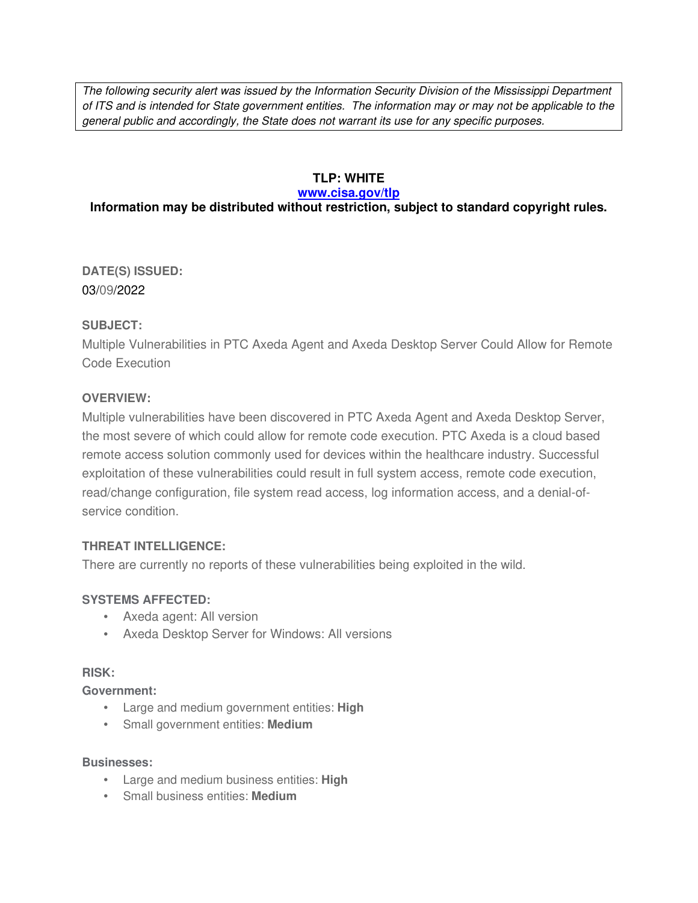The following security alert was issued by the Information Security Division of the Mississippi Department of ITS and is intended for State government entities. The information may or may not be applicable to the general public and accordingly, the State does not warrant its use for any specific purposes.

## **TLP: WHITE**

#### **www.cisa.gov/tlp**

# **Information may be distributed without restriction, subject to standard copyright rules.**

**DATE(S) ISSUED:** 03/09/2022

### **SUBJECT:**

Multiple Vulnerabilities in PTC Axeda Agent and Axeda Desktop Server Could Allow for Remote Code Execution

## **OVERVIEW:**

Multiple vulnerabilities have been discovered in PTC Axeda Agent and Axeda Desktop Server, the most severe of which could allow for remote code execution. PTC Axeda is a cloud based remote access solution commonly used for devices within the healthcare industry. Successful exploitation of these vulnerabilities could result in full system access, remote code execution, read/change configuration, file system read access, log information access, and a denial-ofservice condition.

### **THREAT INTELLIGENCE:**

There are currently no reports of these vulnerabilities being exploited in the wild.

# **SYSTEMS AFFECTED:**

- Axeda agent: All version
- Axeda Desktop Server for Windows: All versions

### **RISK:**

**Government:**

- Large and medium government entities: **High**
- Small government entities: **Medium**

#### **Businesses:**

- Large and medium business entities: **High**
- Small business entities: **Medium**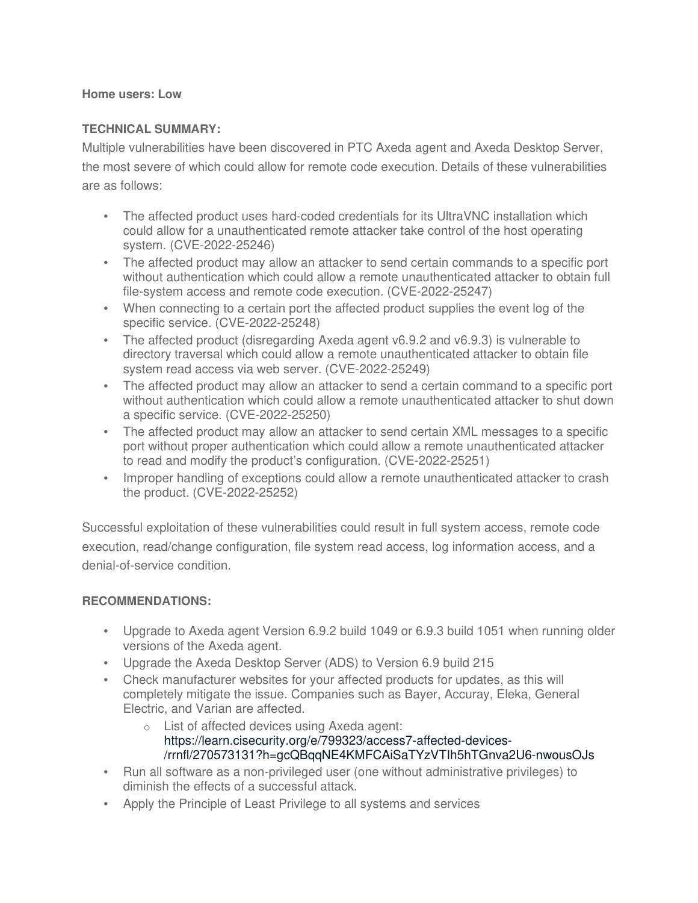#### **Home users: Low**

#### **TECHNICAL SUMMARY:**

Multiple vulnerabilities have been discovered in PTC Axeda agent and Axeda Desktop Server, the most severe of which could allow for remote code execution. Details of these vulnerabilities are as follows:

- The affected product uses hard-coded credentials for its UltraVNC installation which could allow for a unauthenticated remote attacker take control of the host operating system. (CVE-2022-25246)
- The affected product may allow an attacker to send certain commands to a specific port without authentication which could allow a remote unauthenticated attacker to obtain full file-system access and remote code execution. (CVE-2022-25247)
- When connecting to a certain port the affected product supplies the event log of the specific service. (CVE-2022-25248)
- The affected product (disregarding Axeda agent v6.9.2 and v6.9.3) is vulnerable to directory traversal which could allow a remote unauthenticated attacker to obtain file system read access via web server. (CVE-2022-25249)
- The affected product may allow an attacker to send a certain command to a specific port without authentication which could allow a remote unauthenticated attacker to shut down a specific service. (CVE-2022-25250)
- The affected product may allow an attacker to send certain XML messages to a specific port without proper authentication which could allow a remote unauthenticated attacker to read and modify the product's configuration. (CVE-2022-25251)
- Improper handling of exceptions could allow a remote unauthenticated attacker to crash the product. (CVE-2022-25252)

Successful exploitation of these vulnerabilities could result in full system access, remote code execution, read/change configuration, file system read access, log information access, and a denial-of-service condition.

### **RECOMMENDATIONS:**

- Upgrade to Axeda agent Version 6.9.2 build 1049 or 6.9.3 build 1051 when running older versions of the Axeda agent.
- Upgrade the Axeda Desktop Server (ADS) to Version 6.9 build 215
- Check manufacturer websites for your affected products for updates, as this will completely mitigate the issue. Companies such as Bayer, Accuray, Eleka, General Electric, and Varian are affected.
	- o List of affected devices using Axeda agent: https://learn.cisecurity.org/e/799323/access7-affected-devices- /rrnfl/270573131?h=gcQBqqNE4KMFCAiSaTYzVTIh5hTGnva2U6-nwousOJs
- Run all software as a non-privileged user (one without administrative privileges) to diminish the effects of a successful attack.
- Apply the Principle of Least Privilege to all systems and services